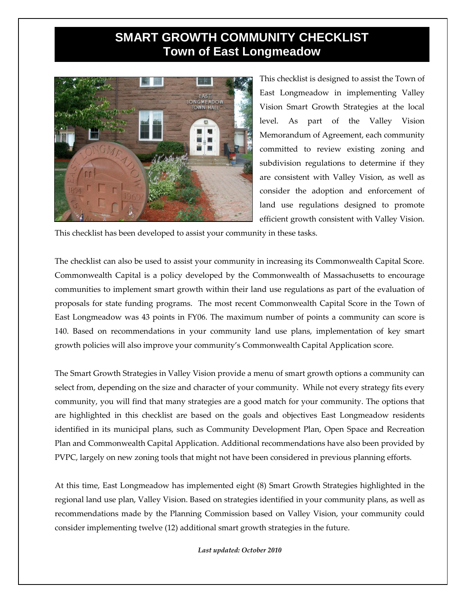## **SMART GROWTH COMMUNITY CHECKLIST Town of East Longmeadow**



This checklist is designed to assist the Town of East Longmeadow in implementing Valley Vision Smart Growth Strategies at the local level. As part of the Valley Vision Memorandum of Agreement, each community committed to review existing zoning and subdivision regulations to determine if they are consistent with Valley Vision, as well as consider the adoption and enforcement of land use regulations designed to promote efficient growth consistent with Valley Vision.

This checklist has been developed to assist your community in these tasks.

The checklist can also be used to assist your community in increasing its Commonwealth Capital Score. Commonwealth Capital is a policy developed by the Commonwealth of Massachusetts to encourage communities to implement smart growth within their land use regulations as part of the evaluation of proposals for state funding programs. The most recent Commonwealth Capital Score in the Town of East Longmeadow was 43 points in FY06. The maximum number of points a community can score is 140. Based on recommendations in your community land use plans, implementation of key smart growth policies will also improve your community's Commonwealth Capital Application score.

The Smart Growth Strategies in Valley Vision provide a menu of smart growth options a community can select from, depending on the size and character of your community. While not every strategy fits every community, you will find that many strategies are a good match for your community. The options that are highlighted in this checklist are based on the goals and objectives East Longmeadow residents identified in its municipal plans, such as Community Development Plan, Open Space and Recreation Plan and Commonwealth Capital Application. Additional recommendations have also been provided by PVPC, largely on new zoning tools that might not have been considered in previous planning efforts.

At this time, East Longmeadow has implemented eight (8) Smart Growth Strategies highlighted in the regional land use plan, Valley Vision. Based on strategies identified in your community plans, as well as recommendations made by the Planning Commission based on Valley Vision, your community could consider implementing twelve (12) additional smart growth strategies in the future.

*Last updated: October 2010*